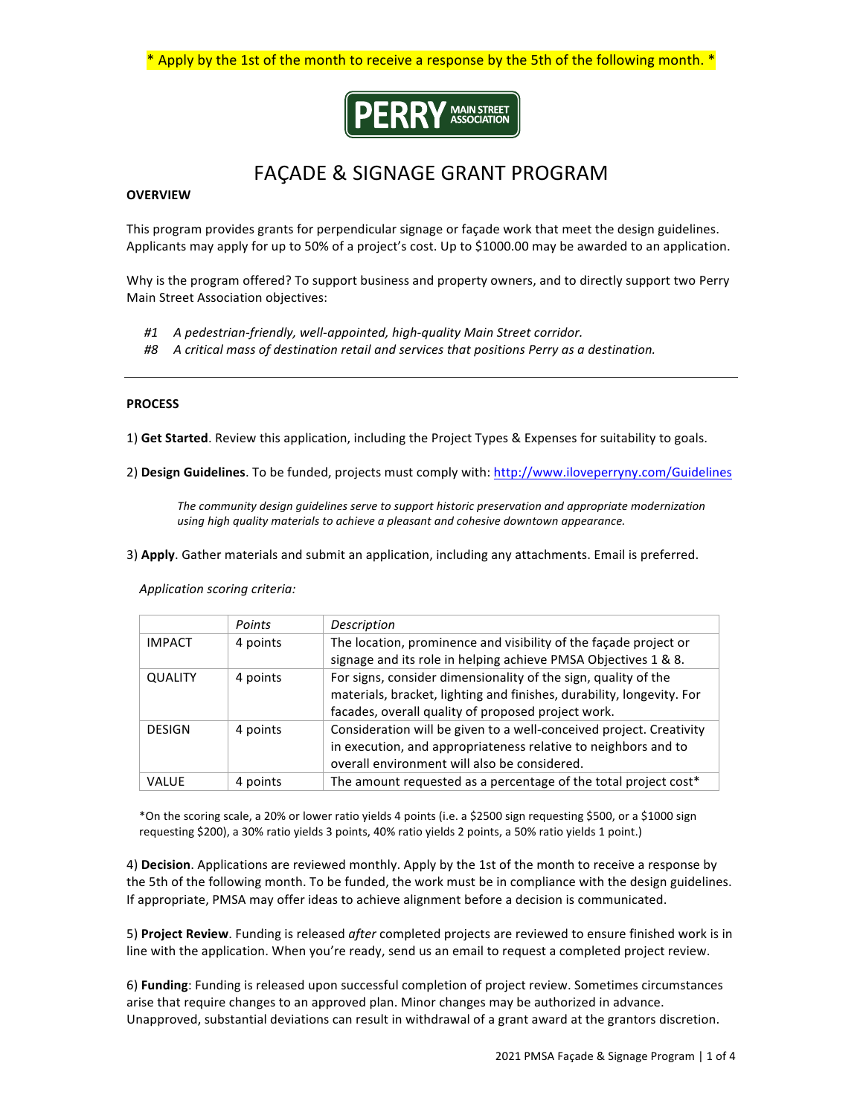\* Apply by the 1st of the month to receive a response by the 5th of the following month. \*



# FAÇADE & SIGNAGE GRANT PROGRAM

## **OVERVIEW**

This program provides grants for perpendicular signage or façade work that meet the design guidelines. Applicants may apply for up to 50% of a project's cost. Up to \$1000.00 may be awarded to an application.

Why is the program offered? To support business and property owners, and to directly support two Perry Main Street Association objectives:

- #1 A pedestrian-friendly, well-appointed, high-quality Main Street corridor.
- #8 A critical mass of destination retail and services that positions Perry as a destination.

## **PROCESS**

1) Get Started. Review this application, including the Project Types & Expenses for suitability to goals.

2) Design Guidelines. To be funded, projects must comply with: http://www.iloveperryny.com/Guidelines

The community design quidelines serve to support historic preservation and appropriate modernization using high quality materials to achieve a pleasant and cohesive downtown appearance.

3) Apply. Gather materials and submit an application, including any attachments. Email is preferred.

 *Application scoring criteria:* 

|                | Points   | Description                                                                                                                                                                                   |
|----------------|----------|-----------------------------------------------------------------------------------------------------------------------------------------------------------------------------------------------|
| <b>IMPACT</b>  | 4 points | The location, prominence and visibility of the façade project or<br>signage and its role in helping achieve PMSA Objectives 1 & 8.                                                            |
| <b>QUALITY</b> | 4 points | For signs, consider dimensionality of the sign, quality of the<br>materials, bracket, lighting and finishes, durability, longevity. For<br>facades, overall quality of proposed project work. |
| <b>DESIGN</b>  | 4 points | Consideration will be given to a well-conceived project. Creativity<br>in execution, and appropriateness relative to neighbors and to<br>overall environment will also be considered.         |
| VALUE          | 4 points | The amount requested as a percentage of the total project cost*                                                                                                                               |

\*On the scoring scale, a 20% or lower ratio yields 4 points (i.e. a \$2500 sign requesting \$500, or a \$1000 sign requesting \$200), a 30% ratio yields 3 points, 40% ratio yields 2 points, a 50% ratio yields 1 point.)

4) **Decision**. Applications are reviewed monthly. Apply by the 1st of the month to receive a response by the 5th of the following month. To be funded, the work must be in compliance with the design guidelines. If appropriate, PMSA may offer ideas to achieve alignment before a decision is communicated.

5) Project Review. Funding is released after completed projects are reviewed to ensure finished work is in line with the application. When you're ready, send us an email to request a completed project review.

6) **Funding**: Funding is released upon successful completion of project review. Sometimes circumstances arise that require changes to an approved plan. Minor changes may be authorized in advance. Unapproved, substantial deviations can result in withdrawal of a grant award at the grantors discretion.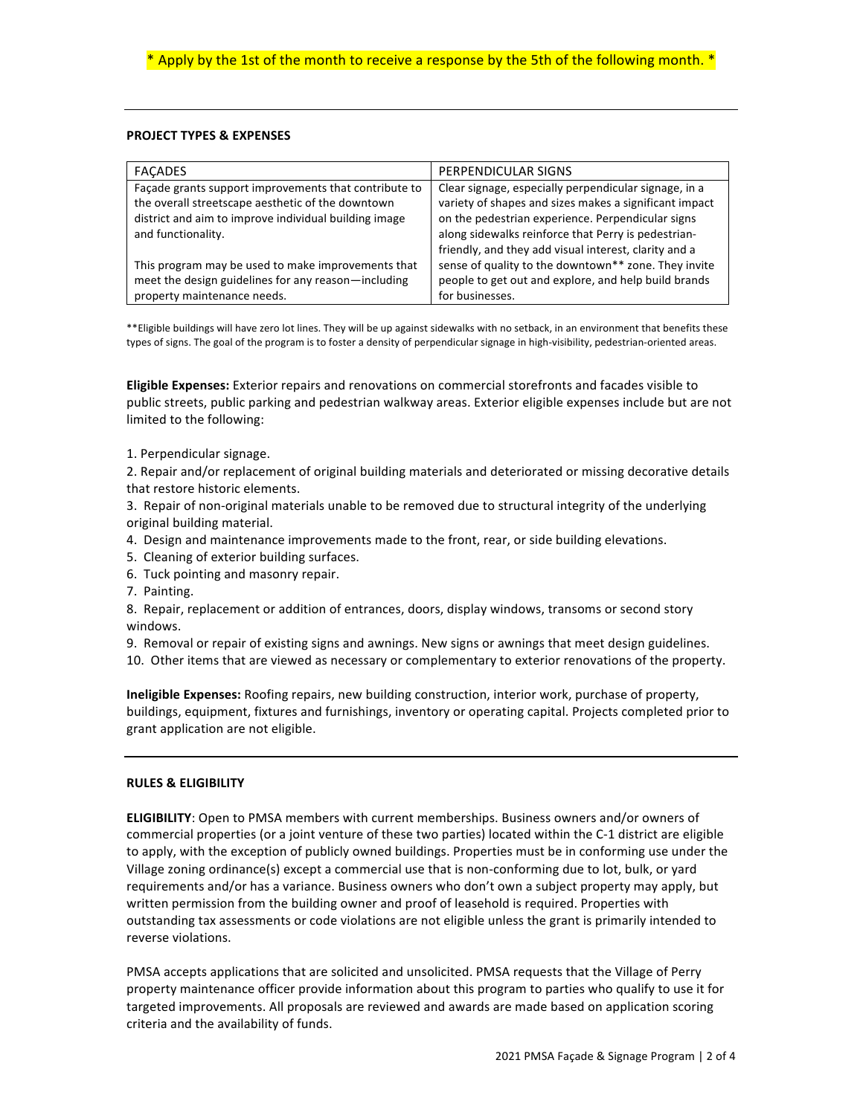## **PROJECT TYPES & EXPENSES**

| <b>FACADES</b>                                        | PERPENDICULAR SIGNS                                    |
|-------------------------------------------------------|--------------------------------------------------------|
| Façade grants support improvements that contribute to | Clear signage, especially perpendicular signage, in a  |
| the overall streetscape aesthetic of the downtown     | variety of shapes and sizes makes a significant impact |
| district and aim to improve individual building image | on the pedestrian experience. Perpendicular signs      |
| and functionality.                                    | along sidewalks reinforce that Perry is pedestrian-    |
|                                                       | friendly, and they add visual interest, clarity and a  |
| This program may be used to make improvements that    | sense of quality to the downtown** zone. They invite   |
| meet the design guidelines for any reason-including   | people to get out and explore, and help build brands   |
| property maintenance needs.                           | for businesses.                                        |
|                                                       |                                                        |

\*\*Eligible buildings will have zero lot lines. They will be up against sidewalks with no setback, in an environment that benefits these types of signs. The goal of the program is to foster a density of perpendicular signage in high-visibility, pedestrian-oriented areas.

**Eligible Expenses:** Exterior repairs and renovations on commercial storefronts and facades visible to public streets, public parking and pedestrian walkway areas. Exterior eligible expenses include but are not limited to the following:

1. Perpendicular signage.

2. Repair and/or replacement of original building materials and deteriorated or missing decorative details that restore historic elements.

3. Repair of non-original materials unable to be removed due to structural integrity of the underlying original building material.

- 4. Design and maintenance improvements made to the front, rear, or side building elevations.
- 5. Cleaning of exterior building surfaces.
- 6. Tuck pointing and masonry repair.
- 7. Painting.

8. Repair, replacement or addition of entrances, doors, display windows, transoms or second story windows. 

- 9. Removal or repair of existing signs and awnings. New signs or awnings that meet design guidelines.
- 10. Other items that are viewed as necessary or complementary to exterior renovations of the property.

**Ineligible Expenses:** Roofing repairs, new building construction, interior work, purchase of property, buildings, equipment, fixtures and furnishings, inventory or operating capital. Projects completed prior to grant application are not eligible.

## **RULES & ELIGIBILITY**

**ELIGIBILITY:** Open to PMSA members with current memberships. Business owners and/or owners of commercial properties (or a joint venture of these two parties) located within the C-1 district are eligible to apply, with the exception of publicly owned buildings. Properties must be in conforming use under the Village zoning ordinance(s) except a commercial use that is non-conforming due to lot, bulk, or yard requirements and/or has a variance. Business owners who don't own a subject property may apply, but written permission from the building owner and proof of leasehold is required. Properties with outstanding tax assessments or code violations are not eligible unless the grant is primarily intended to reverse violations.

PMSA accepts applications that are solicited and unsolicited. PMSA requests that the Village of Perry property maintenance officer provide information about this program to parties who qualify to use it for targeted improvements. All proposals are reviewed and awards are made based on application scoring criteria and the availability of funds.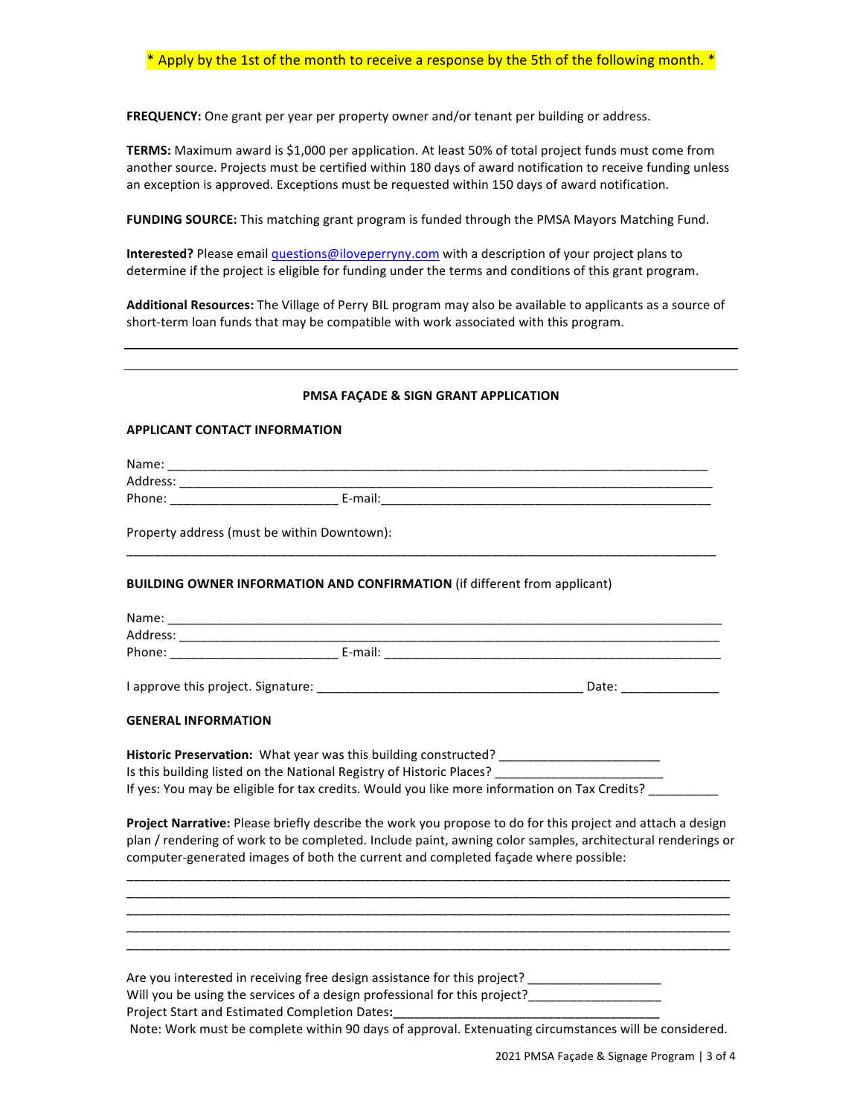FREQUENCY: One grant per year per property owner and/or tenant per building or address.

TERMS: Maximum award is \$1,000 per application. At least 50% of total project funds must come from another source. Projects must be certified within 180 days of award notification to receive funding unless an exception is approved. Exceptions must be requested within 150 days of award notification.

FUNDING SOURCE: This matching grant program is funded through the PMSA Mayors Matching Fund.

**Interested?** Please email *questions@iloveperryny.com* with a description of your project plans to determine if the project is eligible for funding under the terms and conditions of this grant program.

Additional Resources: The Village of Perry BIL program may also be available to applicants as a source of short-term loan funds that may be compatible with work associated with this program.

#### **PMSA FAÇADE & SIGN GRANT APPLICATION**

#### **APPLICANT CONTACT INFORMATION**

|                            | Property address (must be within Downtown):                                      |                                                                                                                                                                                                                                                                                                                |
|----------------------------|----------------------------------------------------------------------------------|----------------------------------------------------------------------------------------------------------------------------------------------------------------------------------------------------------------------------------------------------------------------------------------------------------------|
|                            | <b>BUILDING OWNER INFORMATION AND CONFIRMATION (if different from applicant)</b> |                                                                                                                                                                                                                                                                                                                |
|                            |                                                                                  |                                                                                                                                                                                                                                                                                                                |
|                            |                                                                                  |                                                                                                                                                                                                                                                                                                                |
|                            |                                                                                  |                                                                                                                                                                                                                                                                                                                |
|                            |                                                                                  |                                                                                                                                                                                                                                                                                                                |
| <b>GENERAL INFORMATION</b> |                                                                                  |                                                                                                                                                                                                                                                                                                                |
|                            |                                                                                  | Historic Preservation: What year was this building constructed? _________________                                                                                                                                                                                                                              |
|                            |                                                                                  | Is this building listed on the National Registry of Historic Places? _______________________________                                                                                                                                                                                                           |
|                            |                                                                                  | If yes: You may be eligible for tax credits. Would you like more information on Tax Credits?                                                                                                                                                                                                                   |
|                            |                                                                                  | Project Narrative: Please briefly describe the work you propose to do for this project and attach a design<br>plan / rendering of work to be completed. Include paint, awning color samples, architectural renderings or<br>computer-generated images of both the current and completed façade where possible: |
|                            |                                                                                  |                                                                                                                                                                                                                                                                                                                |
|                            |                                                                                  | Are you interested in receiving free design assistance for this project? ___________________________                                                                                                                                                                                                           |
|                            |                                                                                  | Will you be using the services of a design professional for this project?__________________________                                                                                                                                                                                                            |
|                            |                                                                                  | Project Start and Estimated Completion Dates: ___________________________________                                                                                                                                                                                                                              |
|                            |                                                                                  | Note: Work must be complete within 90 days of approval. Extenuating circumstances will be considered.                                                                                                                                                                                                          |